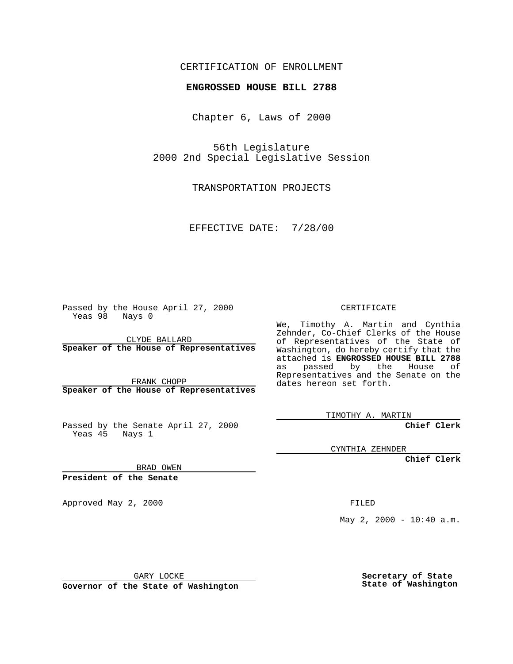## CERTIFICATION OF ENROLLMENT

## **ENGROSSED HOUSE BILL 2788**

Chapter 6, Laws of 2000

56th Legislature 2000 2nd Special Legislative Session

TRANSPORTATION PROJECTS

EFFECTIVE DATE: 7/28/00

Passed by the House April 27, 2000 Yeas 98 Nays 0

CLYDE BALLARD **Speaker of the House of Representatives**

FRANK CHOPP **Speaker of the House of Representatives**

Passed by the Senate April 27, 2000 Yeas 45 Nays 1

CYNTHIA ZEHNDER

TIMOTHY A. MARTIN

**Chief Clerk**

**Chief Clerk**

BRAD OWEN

**President of the Senate**

Approved May 2, 2000 FILED

May 2, 2000 - 10:40 a.m.

GARY LOCKE

**Governor of the State of Washington**

**Secretary of State State of Washington**

CERTIFICATE

We, Timothy A. Martin and Cynthia Zehnder, Co-Chief Clerks of the House of Representatives of the State of Washington, do hereby certify that the attached is **ENGROSSED HOUSE BILL 2788** as passed by the House of Representatives and the Senate on the dates hereon set forth.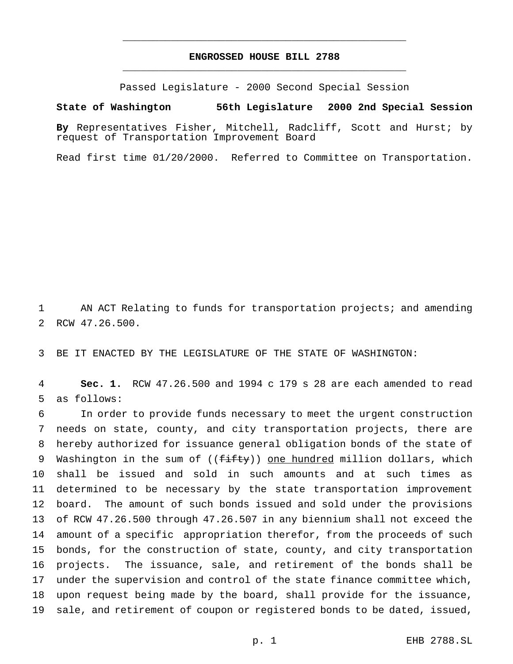## **ENGROSSED HOUSE BILL 2788** \_\_\_\_\_\_\_\_\_\_\_\_\_\_\_\_\_\_\_\_\_\_\_\_\_\_\_\_\_\_\_\_\_\_\_\_\_\_\_\_\_\_\_\_\_\_\_

\_\_\_\_\_\_\_\_\_\_\_\_\_\_\_\_\_\_\_\_\_\_\_\_\_\_\_\_\_\_\_\_\_\_\_\_\_\_\_\_\_\_\_\_\_\_\_

Passed Legislature - 2000 Second Special Session

## **State of Washington 56th Legislature 2000 2nd Special Session**

**By** Representatives Fisher, Mitchell, Radcliff, Scott and Hurst; by request of Transportation Improvement Board

Read first time 01/20/2000. Referred to Committee on Transportation.

 AN ACT Relating to funds for transportation projects; and amending RCW 47.26.500.

BE IT ENACTED BY THE LEGISLATURE OF THE STATE OF WASHINGTON:

 **Sec. 1.** RCW 47.26.500 and 1994 c 179 s 28 are each amended to read as follows:

 In order to provide funds necessary to meet the urgent construction needs on state, county, and city transportation projects, there are hereby authorized for issuance general obligation bonds of the state of 9 Washington in the sum of ((fifty)) one hundred million dollars, which shall be issued and sold in such amounts and at such times as determined to be necessary by the state transportation improvement board. The amount of such bonds issued and sold under the provisions of RCW 47.26.500 through 47.26.507 in any biennium shall not exceed the amount of a specific appropriation therefor, from the proceeds of such bonds, for the construction of state, county, and city transportation projects. The issuance, sale, and retirement of the bonds shall be under the supervision and control of the state finance committee which, upon request being made by the board, shall provide for the issuance, sale, and retirement of coupon or registered bonds to be dated, issued,